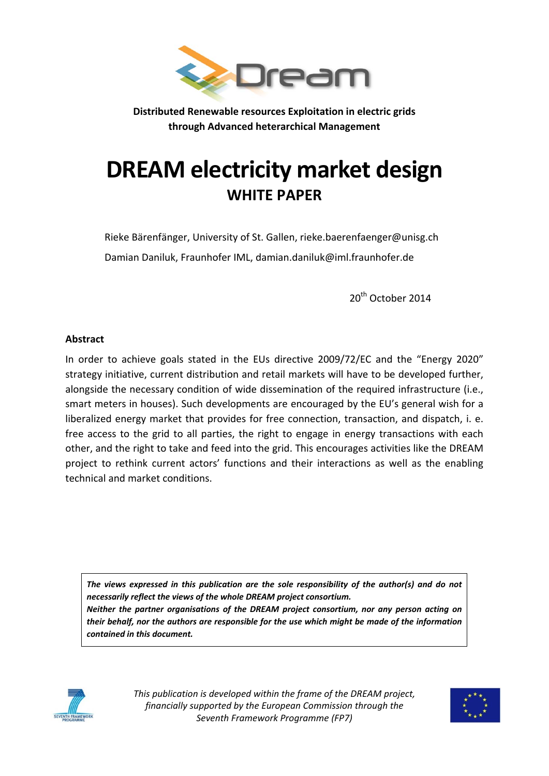

**Distributed Renewable resources Exploitation in electric grids through Advanced heterarchical Management**

# **DREAM electricity market design WHITE PAPER**

Rieke Bärenfänger, University of St. Gallen, rieke.baerenfaenger@unisg.ch Damian Daniluk, Fraunhofer IML, damian.daniluk@iml.fraunhofer.de

20<sup>th</sup> October 2014

#### **Abstract**

In order to achieve goals stated in the EUs directive 2009/72/EC and the "Energy 2020" strategy initiative, current distribution and retail markets will have to be developed further, alongside the necessary condition of wide dissemination of the required infrastructure (i.e., smart meters in houses). Such developments are encouraged by the EU's general wish for a liberalized energy market that provides for free connection, transaction, and dispatch, i. e. free access to the grid to all parties, the right to engage in energy transactions with each other, and the right to take and feed into the grid. This encourages activities like the DREAM project to rethink current actors' functions and their interactions as well as the enabling technical and market conditions.

*The views expressed in this publication are the sole responsibility of the author(s) and do not necessarily reflect the views of the whole DREAM project consortium. Neither the partner organisations of the DREAM project consortium, nor any person acting on their behalf, nor the authors are responsible for the use which might be made of the information contained in this document.*



*This publication is developed within the frame of the DREAM project, financially supported by the European Commission through the Seventh Framework Programme (FP7)*

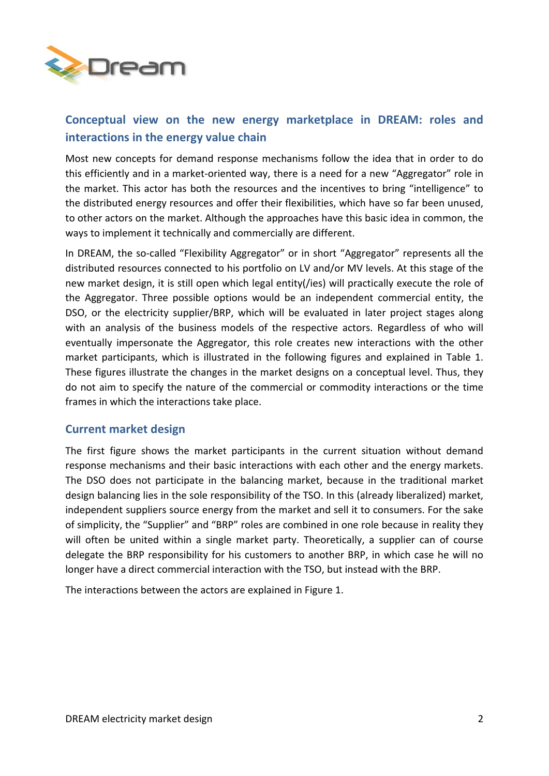

## **Conceptual view on the new energy marketplace in DREAM: roles and interactions in the energy value chain**

Most new concepts for demand response mechanisms follow the idea that in order to do this efficiently and in a market-oriented way, there is a need for a new "Aggregator" role in the market. This actor has both the resources and the incentives to bring "intelligence" to the distributed energy resources and offer their flexibilities, which have so far been unused, to other actors on the market. Although the approaches have this basic idea in common, the ways to implement it technically and commercially are different.

In DREAM, the so-called "Flexibility Aggregator" or in short "Aggregator" represents all the distributed resources connected to his portfolio on LV and/or MV levels. At this stage of the new market design, it is still open which legal entity(/ies) will practically execute the role of the Aggregator. Three possible options would be an independent commercial entity, the DSO, or the electricity supplier/BRP, which will be evaluated in later project stages along with an analysis of the business models of the respective actors. Regardless of who will eventually impersonate the Aggregator, this role creates new interactions with the other market participants, which is illustrated in the following figures and explained in Table 1. These figures illustrate the changes in the market designs on a conceptual level. Thus, they do not aim to specify the nature of the commercial or commodity interactions or the time frames in which the interactions take place.

## **Current market design**

The first figure shows the market participants in the current situation without demand response mechanisms and their basic interactions with each other and the energy markets. The DSO does not participate in the balancing market, because in the traditional market design balancing lies in the sole responsibility of the TSO. In this (already liberalized) market, independent suppliers source energy from the market and sell it to consumers. For the sake of simplicity, the "Supplier" and "BRP" roles are combined in one role because in reality they will often be united within a single market party. Theoretically, a supplier can of course delegate the BRP responsibility for his customers to another BRP, in which case he will no longer have a direct commercial interaction with the TSO, but instead with the BRP.

The interactions between the actors are explained in Figure 1.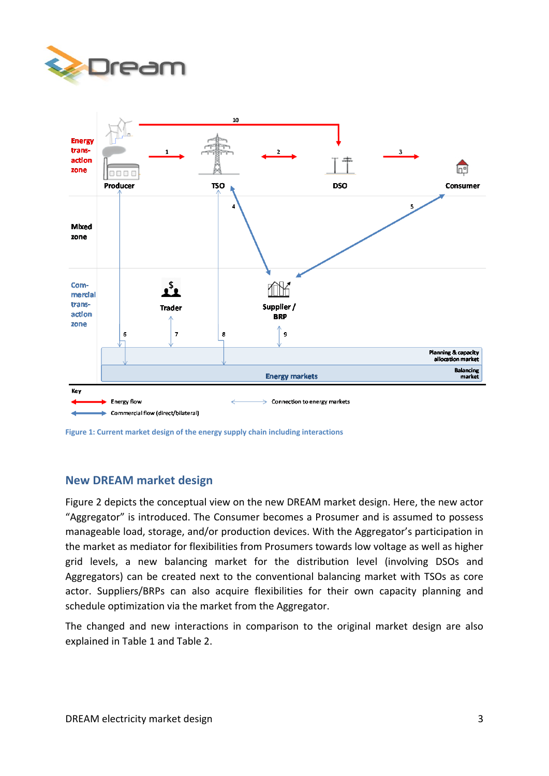



**Figure 1: Current market design of the energy supply chain including interactions**

## **New DREAM market design**

Figure 2 depicts the conceptual view on the new DREAM market design. Here, the new actor "Aggregator" is introduced. The Consumer becomes a Prosumer and is assumed to possess manageable load, storage, and/or production devices. With the Aggregator's participation in the market as mediator for flexibilities from Prosumers towards low voltage as well as higher grid levels, a new balancing market for the distribution level (involving DSOs and Aggregators) can be created next to the conventional balancing market with TSOs as core actor. Suppliers/BRPs can also acquire flexibilities for their own capacity planning and schedule optimization via the market from the Aggregator.

The changed and new interactions in comparison to the original market design are also explained in Table 1 and Table 2.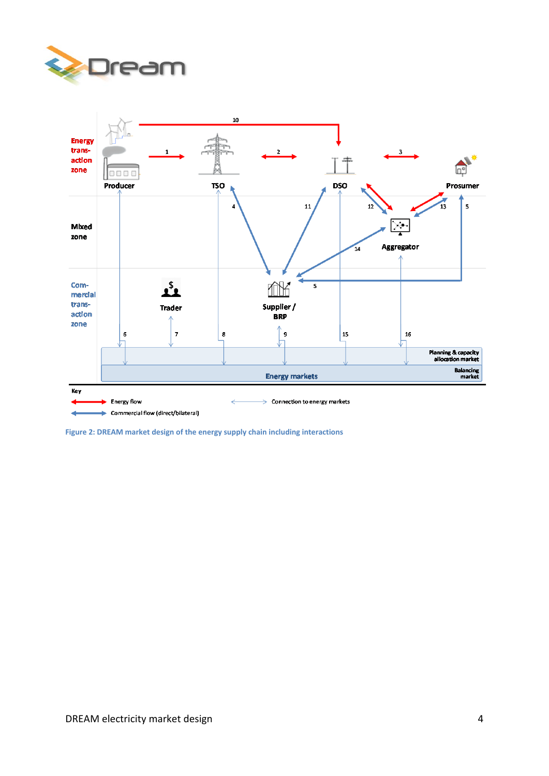



**Figure 2: DREAM market design of the energy supply chain including interactions**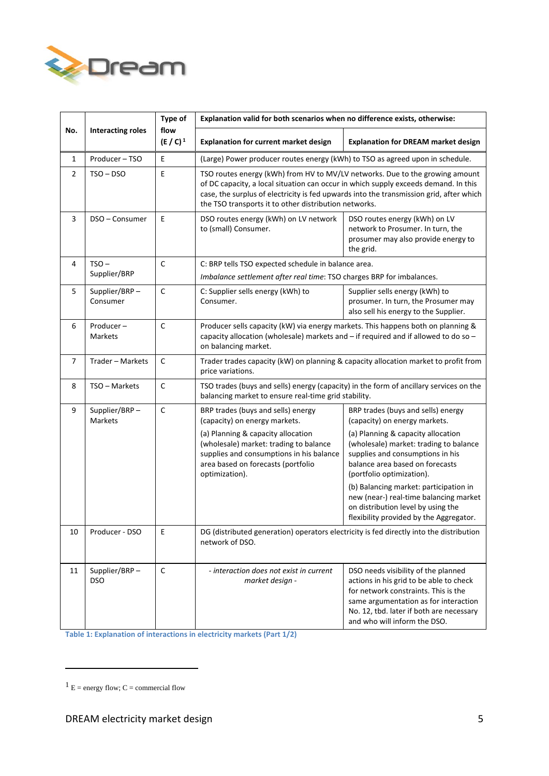

| No.            | <b>Interacting roles</b>    | Type of<br>flow<br>$(E / C)^1$ | Explanation valid for both scenarios when no difference exists, otherwise:                                                                                                                                                                                                                                              |                                                                                                                                                                                                                                             |
|----------------|-----------------------------|--------------------------------|-------------------------------------------------------------------------------------------------------------------------------------------------------------------------------------------------------------------------------------------------------------------------------------------------------------------------|---------------------------------------------------------------------------------------------------------------------------------------------------------------------------------------------------------------------------------------------|
|                |                             |                                | <b>Explanation for current market design</b>                                                                                                                                                                                                                                                                            | <b>Explanation for DREAM market design</b>                                                                                                                                                                                                  |
| $\mathbf{1}$   | Producer-TSO                | Ε                              | (Large) Power producer routes energy (kWh) to TSO as agreed upon in schedule.                                                                                                                                                                                                                                           |                                                                                                                                                                                                                                             |
| $\overline{2}$ | $TSO - DSO$                 | E                              | TSO routes energy (kWh) from HV to MV/LV networks. Due to the growing amount<br>of DC capacity, a local situation can occur in which supply exceeds demand. In this<br>case, the surplus of electricity is fed upwards into the transmission grid, after which<br>the TSO transports it to other distribution networks. |                                                                                                                                                                                                                                             |
| 3              | DSO - Consumer              | E                              | DSO routes energy (kWh) on LV network<br>to (small) Consumer.                                                                                                                                                                                                                                                           | DSO routes energy (kWh) on LV<br>network to Prosumer. In turn, the<br>prosumer may also provide energy to<br>the grid.                                                                                                                      |
| 4              | $TSO -$                     | C                              | C: BRP tells TSO expected schedule in balance area.                                                                                                                                                                                                                                                                     |                                                                                                                                                                                                                                             |
|                | Supplier/BRP                |                                | Imbalance settlement after real time: TSO charges BRP for imbalances.                                                                                                                                                                                                                                                   |                                                                                                                                                                                                                                             |
| 5              | Supplier/BRP-<br>Consumer   | C                              | C: Supplier sells energy (kWh) to<br>Consumer.                                                                                                                                                                                                                                                                          | Supplier sells energy (kWh) to<br>prosumer. In turn, the Prosumer may<br>also sell his energy to the Supplier.                                                                                                                              |
| 6              | Producer-<br>Markets        | C                              | Producer sells capacity (kW) via energy markets. This happens both on planning &<br>capacity allocation (wholesale) markets and - if required and if allowed to do so -<br>on balancing market.                                                                                                                         |                                                                                                                                                                                                                                             |
| $\overline{7}$ | Trader - Markets            | С                              | Trader trades capacity (kW) on planning & capacity allocation market to profit from<br>price variations.                                                                                                                                                                                                                |                                                                                                                                                                                                                                             |
| 8              | TSO - Markets               | С                              | TSO trades (buys and sells) energy (capacity) in the form of ancillary services on the<br>balancing market to ensure real-time grid stability.                                                                                                                                                                          |                                                                                                                                                                                                                                             |
| 9              | Supplier/BRP-<br>Markets    | C                              | BRP trades (buys and sells) energy<br>(capacity) on energy markets.                                                                                                                                                                                                                                                     | BRP trades (buys and sells) energy<br>(capacity) on energy markets.                                                                                                                                                                         |
|                |                             |                                | (a) Planning & capacity allocation<br>(wholesale) market: trading to balance<br>supplies and consumptions in his balance<br>area based on forecasts (portfolio<br>optimization).                                                                                                                                        | (a) Planning & capacity allocation<br>(wholesale) market: trading to balance<br>supplies and consumptions in his<br>balance area based on forecasts<br>(portfolio optimization).                                                            |
|                |                             |                                |                                                                                                                                                                                                                                                                                                                         | (b) Balancing market: participation in<br>new (near-) real-time balancing market<br>on distribution level by using the<br>flexibility provided by the Aggregator.                                                                           |
| 10             | Producer - DSO              | E                              | DG (distributed generation) operators electricity is fed directly into the distribution<br>network of DSO.                                                                                                                                                                                                              |                                                                                                                                                                                                                                             |
| 11             | Supplier/BRP-<br><b>DSO</b> | C                              | - interaction does not exist in current<br>market design -                                                                                                                                                                                                                                                              | DSO needs visibility of the planned<br>actions in his grid to be able to check<br>for network constraints. This is the<br>same argumentation as for interaction<br>No. 12, tbd. later if both are necessary<br>and who will inform the DSO. |

**Table 1: Explanation of interactions in electricity markets (Part 1/2)**

 $1 E =$  energy flow;  $C =$  commercial flow